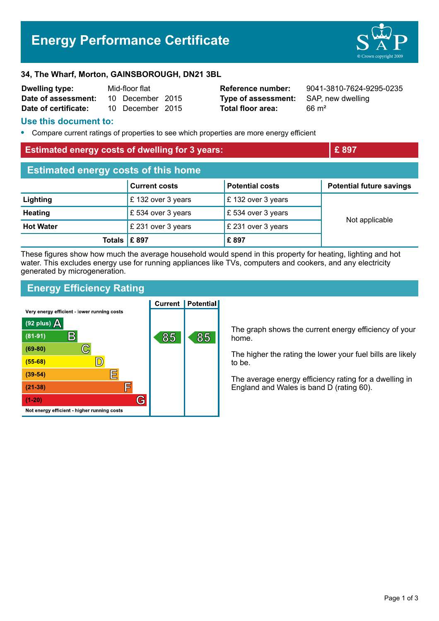# **Energy Performance Certificate**



#### **34, The Wharf, Morton, GAINSBOROUGH, DN21 3BL**

| Dwelling type:       | Mid-floor flat |                  |  |
|----------------------|----------------|------------------|--|
| Date of assessment:  |                | 10 December 2015 |  |
| Date of certificate: |                | 10 December 2015 |  |

**Type of assessment:** SAP, new dwelling **Total floor area:** 66 m<sup>2</sup>

**Reference number:** 9041-3810-7624-9295-0235

#### **Use this document to:**

**•** Compare current ratings of properties to see which properties are more energy efficient

| <b>Estimated energy costs of dwelling for 3 years:</b> | E897 |
|--------------------------------------------------------|------|
| <b>Estimated energy costs of this home</b>             |      |

|                                  | <b>Current costs</b>    | <b>Potential costs</b> | <b>Potential future savings</b> |
|----------------------------------|-------------------------|------------------------|---------------------------------|
| Lighting                         | £ 132 over 3 years      | £132 over 3 years      |                                 |
| <b>Heating</b>                   | £ 534 over 3 years      | £534 over 3 years      |                                 |
| <b>Hot Water</b>                 | $\,$ £ 231 over 3 years | £ 231 over 3 years     | Not applicable                  |
| Totals $\mathsf{\mathsf{E}}$ 897 |                         | £897                   |                                 |

These figures show how much the average household would spend in this property for heating, lighting and hot water. This excludes energy use for running appliances like TVs, computers and cookers, and any electricity generated by microgeneration.

## **Energy Efficiency Rating**

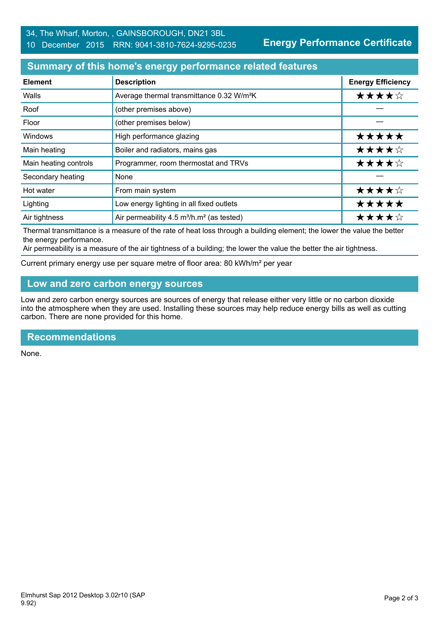**Energy Performance Certificate**

### **Summary of this home's energy performance related features**

| <b>Element</b>        | <b>Description</b>                                                | <b>Energy Efficiency</b> |
|-----------------------|-------------------------------------------------------------------|--------------------------|
| Walls                 | Average thermal transmittance 0.32 W/m <sup>2</sup> K             | ★★★★☆                    |
| Roof                  | (other premises above)                                            |                          |
| Floor                 | (other premises below)                                            |                          |
| Windows               | High performance glazing                                          | *****                    |
| Main heating          | Boiler and radiators, mains gas                                   | ★★★★☆                    |
| Main heating controls | Programmer, room thermostat and TRVs                              | ★★★★☆                    |
| Secondary heating     | None                                                              |                          |
| Hot water             | From main system                                                  | ★★★★☆                    |
| Lighting              | Low energy lighting in all fixed outlets                          | *****                    |
| Air tightness         | Air permeability 4.5 m <sup>3</sup> /h.m <sup>2</sup> (as tested) | ★★★★☆                    |

Thermal transmittance is a measure of the rate of heat loss through a building element; the lower the value the better the energy performance.

Air permeability is a measure of the air tightness of a building; the lower the value the better the air tightness.

Current primary energy use per square metre of floor area: 80 kWh/m² per year

## **Low and zero carbon energy sources**

Low and zero carbon energy sources are sources of energy that release either very little or no carbon dioxide into the atmosphere when they are used. Installing these sources may help reduce energy bills as well as cutting carbon. There are none provided for this home.

#### **Recommendations**

None.